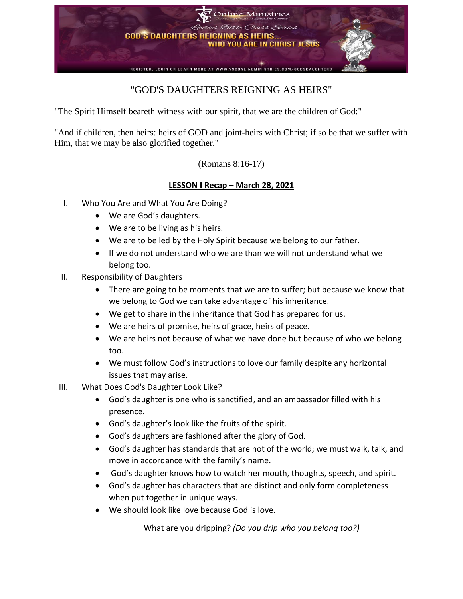

## "GOD'S DAUGHTERS REIGNING AS HEIRS"

"The Spirit Himself beareth witness with our spirit, that we are the children of God:"

"And if children, then heirs: heirs of GOD and joint-heirs with Christ; if so be that we suffer with Him, that we may be also glorified together."

(Romans 8:16-17)

## **LESSON I Recap – March 28, 2021**

- I. Who You Are and What You Are Doing?
	- We are God's daughters.
	- We are to be living as his heirs.
	- We are to be led by the Holy Spirit because we belong to our father.
	- If we do not understand who we are than we will not understand what we belong too.
- II. Responsibility of Daughters
	- There are going to be moments that we are to suffer; but because we know that we belong to God we can take advantage of his inheritance.
	- We get to share in the inheritance that God has prepared for us.
	- We are heirs of promise, heirs of grace, heirs of peace.
	- We are heirs not because of what we have done but because of who we belong too.
	- We must follow God's instructions to love our family despite any horizontal issues that may arise.
- III. What Does God's Daughter Look Like?
	- God's daughter is one who is sanctified, and an ambassador filled with his presence.
	- God's daughter's look like the fruits of the spirit.
	- God's daughters are fashioned after the glory of God.
	- God's daughter has standards that are not of the world; we must walk, talk, and move in accordance with the family's name.
	- God's daughter knows how to watch her mouth, thoughts, speech, and spirit.
	- God's daughter has characters that are distinct and only form completeness when put together in unique ways.
	- We should look like love because God is love.

What are you dripping? *(Do you drip who you belong too?)*